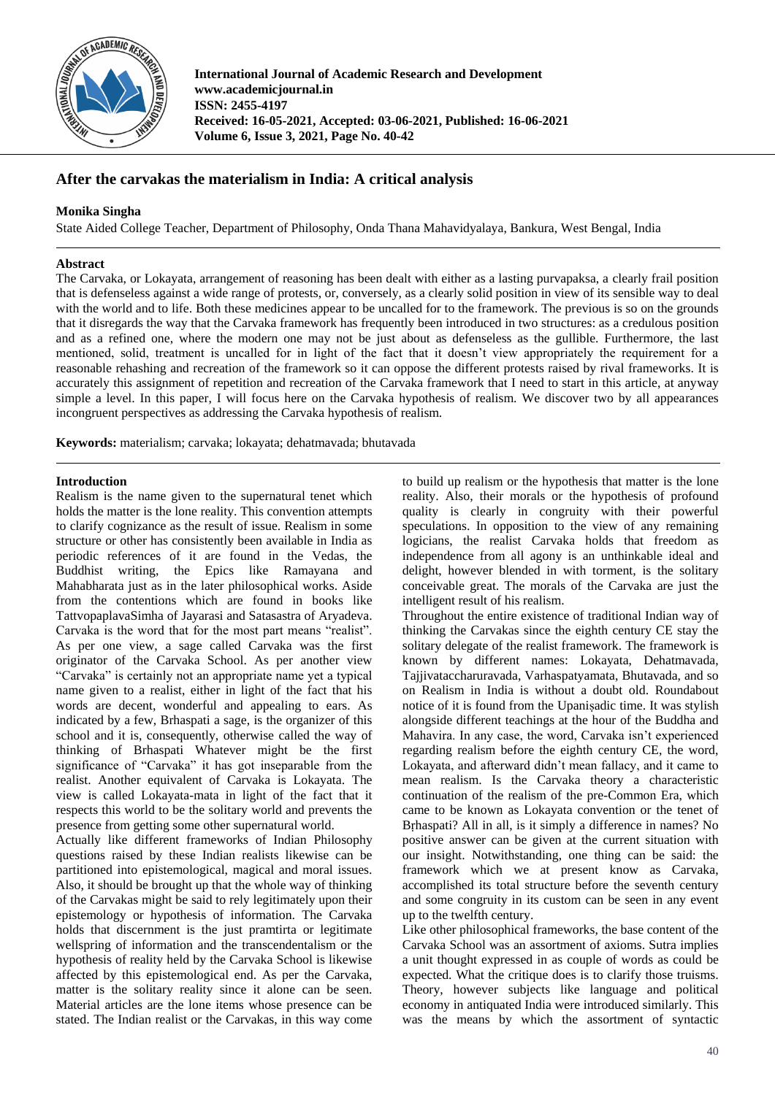

**International Journal of Academic Research and Development www.academicjournal.in ISSN: 2455-4197 Received: 16-05-2021, Accepted: 03-06-2021, Published: 16-06-2021 Volume 6, Issue 3, 2021, Page No. 40-42**

# **After the carvakas the materialism in India: A critical analysis**

## **Monika Singha**

State Aided College Teacher, Department of Philosophy, Onda Thana Mahavidyalaya, Bankura, West Bengal, India

## **Abstract**

The Carvaka, or Lokayata, arrangement of reasoning has been dealt with either as a lasting purvapaksa, a clearly frail position that is defenseless against a wide range of protests, or, conversely, as a clearly solid position in view of its sensible way to deal with the world and to life. Both these medicines appear to be uncalled for to the framework. The previous is so on the grounds that it disregards the way that the Carvaka framework has frequently been introduced in two structures: as a credulous position and as a refined one, where the modern one may not be just about as defenseless as the gullible. Furthermore, the last mentioned, solid, treatment is uncalled for in light of the fact that it doesn't view appropriately the requirement for a reasonable rehashing and recreation of the framework so it can oppose the different protests raised by rival frameworks. It is accurately this assignment of repetition and recreation of the Carvaka framework that I need to start in this article, at anyway simple a level. In this paper, I will focus here on the Carvaka hypothesis of realism. We discover two by all appearances incongruent perspectives as addressing the Carvaka hypothesis of realism.

**Keywords:** materialism; carvaka; lokayata; dehatmavada; bhutavada

# **Introduction**

Realism is the name given to the supernatural tenet which holds the matter is the lone reality. This convention attempts to clarify cognizance as the result of issue. Realism in some structure or other has consistently been available in India as periodic references of it are found in the Vedas, the Buddhist writing, the Epics like Ramayana and Mahabharata just as in the later philosophical works. Aside from the contentions which are found in books like TattvopaplavaSimha of Jayarasi and Satasastra of Aryadeva. Carvaka is the word that for the most part means "realist". As per one view, a sage called Carvaka was the first originator of the Carvaka School. As per another view "Carvaka" is certainly not an appropriate name yet a typical name given to a realist, either in light of the fact that his words are decent, wonderful and appealing to ears. As indicated by a few, Brhaspati a sage, is the organizer of this school and it is, consequently, otherwise called the way of thinking of Brhaspati Whatever might be the first significance of "Carvaka" it has got inseparable from the realist. Another equivalent of Carvaka is Lokayata. The view is called Lokayata-mata in light of the fact that it respects this world to be the solitary world and prevents the presence from getting some other supernatural world.

Actually like different frameworks of Indian Philosophy questions raised by these Indian realists likewise can be partitioned into epistemological, magical and moral issues. Also, it should be brought up that the whole way of thinking of the Carvakas might be said to rely legitimately upon their epistemology or hypothesis of information. The Carvaka holds that discernment is the just pramtirta or legitimate wellspring of information and the transcendentalism or the hypothesis of reality held by the Carvaka School is likewise affected by this epistemological end. As per the Carvaka, matter is the solitary reality since it alone can be seen. Material articles are the lone items whose presence can be stated. The Indian realist or the Carvakas, in this way come

to build up realism or the hypothesis that matter is the lone reality. Also, their morals or the hypothesis of profound quality is clearly in congruity with their powerful speculations. In opposition to the view of any remaining logicians, the realist Carvaka holds that freedom as independence from all agony is an unthinkable ideal and delight, however blended in with torment, is the solitary conceivable great. The morals of the Carvaka are just the intelligent result of his realism.

Throughout the entire existence of traditional Indian way of thinking the Carvakas since the eighth century CE stay the solitary delegate of the realist framework. The framework is known by different names: Lokayata, Dehatmavada, Tajjivataccharuravada, Varhaspatyamata, Bhutavada, and so on Realism in India is without a doubt old. Roundabout notice of it is found from the Upaniṣadic time. It was stylish alongside different teachings at the hour of the Buddha and Mahavira. In any case, the word, Carvaka isn't experienced regarding realism before the eighth century CE, the word, Lokayata, and afterward didn't mean fallacy, and it came to mean realism. Is the Carvaka theory a characteristic continuation of the realism of the pre-Common Era, which came to be known as Lokayata convention or the tenet of Bṛhaspati? All in all, is it simply a difference in names? No positive answer can be given at the current situation with our insight. Notwithstanding, one thing can be said: the framework which we at present know as Carvaka, accomplished its total structure before the seventh century and some congruity in its custom can be seen in any event up to the twelfth century.

Like other philosophical frameworks, the base content of the Carvaka School was an assortment of axioms. Sutra implies a unit thought expressed in as couple of words as could be expected. What the critique does is to clarify those truisms. Theory, however subjects like language and political economy in antiquated India were introduced similarly. This was the means by which the assortment of syntactic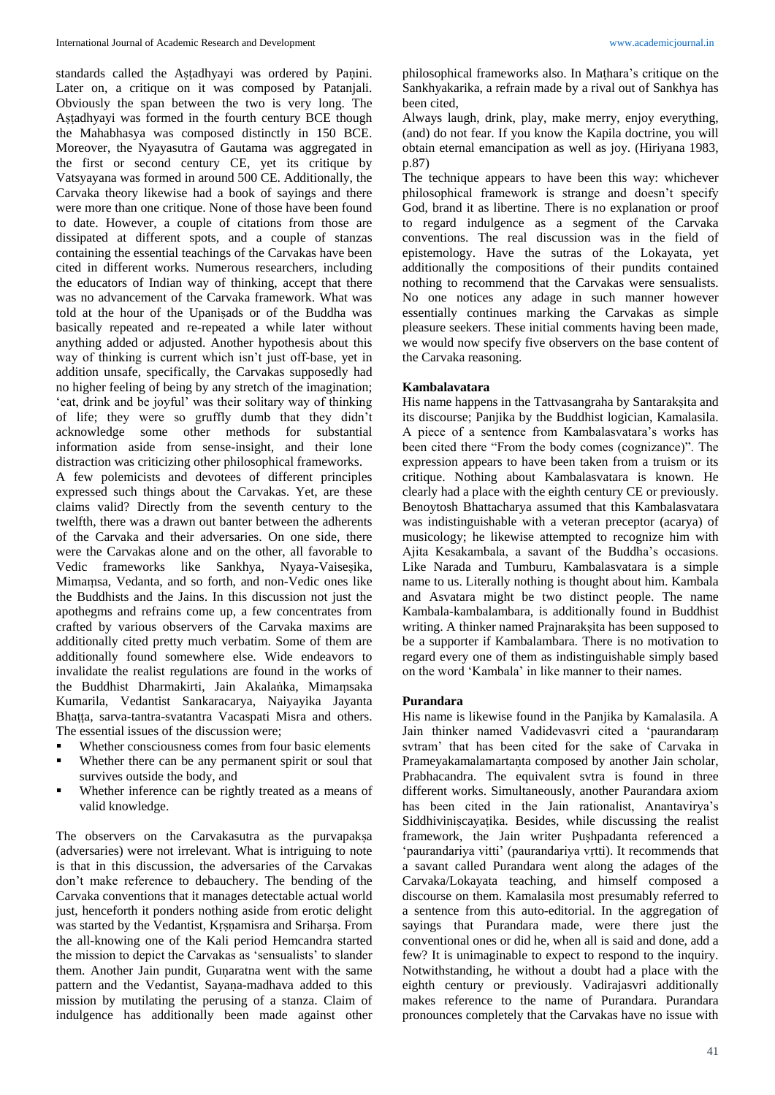standards called the Aṣṭadhyayi was ordered by Paṇini. Later on, a critique on it was composed by Patanjali. Obviously the span between the two is very long. The Aṣṭadhyayi was formed in the fourth century BCE though the Mahabhasya was composed distinctly in 150 BCE. Moreover, the Nyayasutra of Gautama was aggregated in the first or second century CE, yet its critique by Vatsyayana was formed in around 500 CE. Additionally, the Carvaka theory likewise had a book of sayings and there were more than one critique. None of those have been found to date. However, a couple of citations from those are dissipated at different spots, and a couple of stanzas containing the essential teachings of the Carvakas have been cited in different works. Numerous researchers, including the educators of Indian way of thinking, accept that there was no advancement of the Carvaka framework. What was told at the hour of the Upaniṣads or of the Buddha was basically repeated and re-repeated a while later without anything added or adjusted. Another hypothesis about this way of thinking is current which isn't just off-base, yet in addition unsafe, specifically, the Carvakas supposedly had no higher feeling of being by any stretch of the imagination; 'eat, drink and be joyful' was their solitary way of thinking of life; they were so gruffly dumb that they didn't acknowledge some other methods for substantial information aside from sense-insight, and their lone distraction was criticizing other philosophical frameworks.

A few polemicists and devotees of different principles expressed such things about the Carvakas. Yet, are these claims valid? Directly from the seventh century to the twelfth, there was a drawn out banter between the adherents of the Carvaka and their adversaries. On one side, there were the Carvakas alone and on the other, all favorable to Vedic frameworks like Sankhya, Nyaya-Vaiseṣika, Mimaṃsa, Vedanta, and so forth, and non-Vedic ones like the Buddhists and the Jains. In this discussion not just the apothegms and refrains come up, a few concentrates from crafted by various observers of the Carvaka maxims are additionally cited pretty much verbatim. Some of them are additionally found somewhere else. Wide endeavors to invalidate the realist regulations are found in the works of the Buddhist Dharmakirti, Jain Akalaṅka, Mimaṃsaka Kumarila, Vedantist Sankaracarya, Naiyayika Jayanta Bhaṭṭa, sarva-tantra-svatantra Vacaspati Misra and others. The essential issues of the discussion were;

- Whether consciousness comes from four basic elements
- Whether there can be any permanent spirit or soul that survives outside the body, and
- Whether inference can be rightly treated as a means of valid knowledge.

The observers on the Carvakasutra as the purvapaksa (adversaries) were not irrelevant. What is intriguing to note is that in this discussion, the adversaries of the Carvakas don't make reference to debauchery. The bending of the Carvaka conventions that it manages detectable actual world just, henceforth it ponders nothing aside from erotic delight was started by the Vedantist, Kṛṣṇamisra and Sriharṣa. From the all-knowing one of the Kali period Hemcandra started the mission to depict the Carvakas as 'sensualists' to slander them. Another Jain pundit, Gunaratna went with the same pattern and the Vedantist, Sayaṇa-madhava added to this mission by mutilating the perusing of a stanza. Claim of indulgence has additionally been made against other philosophical frameworks also. In Maṭhara's critique on the Sankhyakarika, a refrain made by a rival out of Sankhya has been cited,

Always laugh, drink, play, make merry, enjoy everything, (and) do not fear. If you know the Kapila doctrine, you will obtain eternal emancipation as well as joy. (Hiriyana 1983, p.87)

The technique appears to have been this way: whichever philosophical framework is strange and doesn't specify God, brand it as libertine. There is no explanation or proof to regard indulgence as a segment of the Carvaka conventions. The real discussion was in the field of epistemology. Have the sutras of the Lokayata, yet additionally the compositions of their pundits contained nothing to recommend that the Carvakas were sensualists. No one notices any adage in such manner however essentially continues marking the Carvakas as simple pleasure seekers. These initial comments having been made, we would now specify five observers on the base content of the Carvaka reasoning.

#### **Kambalavatara**

His name happens in the Tattvasangraha by Santarakṣita and its discourse; Panjika by the Buddhist logician, Kamalasila. A piece of a sentence from Kambalasvatara's works has been cited there "From the body comes (cognizance)". The expression appears to have been taken from a truism or its critique. Nothing about Kambalasvatara is known. He clearly had a place with the eighth century CE or previously. Benoytosh Bhattacharya assumed that this Kambalasvatara was indistinguishable with a veteran preceptor (acarya) of musicology; he likewise attempted to recognize him with Ajita Kesakambala, a savant of the Buddha's occasions. Like Narada and Tumburu, Kambalasvatara is a simple name to us. Literally nothing is thought about him. Kambala and Asvatara might be two distinct people. The name Kambala-kambalambara, is additionally found in Buddhist writing. A thinker named Prajnarakṣita has been supposed to be a supporter if Kambalambara. There is no motivation to regard every one of them as indistinguishable simply based on the word 'Kambala' in like manner to their names.

#### **Purandara**

His name is likewise found in the Panjika by Kamalasila. A Jain thinker named Vadidevasvri cited a 'paurandaraṃ svtram' that has been cited for the sake of Carvaka in Prameyakamalamartaṇta composed by another Jain scholar, Prabhacandra. The equivalent svtra is found in three different works. Simultaneously, another Paurandara axiom has been cited in the Jain rationalist, Anantavirya's Siddhiviniscayatika. Besides, while discussing the realist framework, the Jain writer Pushpadanta referenced a 'paurandariya vitti' (paurandariya vṛtti). It recommends that a savant called Purandara went along the adages of the Carvaka/Lokayata teaching, and himself composed a discourse on them. Kamalasila most presumably referred to a sentence from this auto-editorial. In the aggregation of sayings that Purandara made, were there just the conventional ones or did he, when all is said and done, add a few? It is unimaginable to expect to respond to the inquiry. Notwithstanding, he without a doubt had a place with the eighth century or previously. Vadirajasvri additionally makes reference to the name of Purandara. Purandara pronounces completely that the Carvakas have no issue with